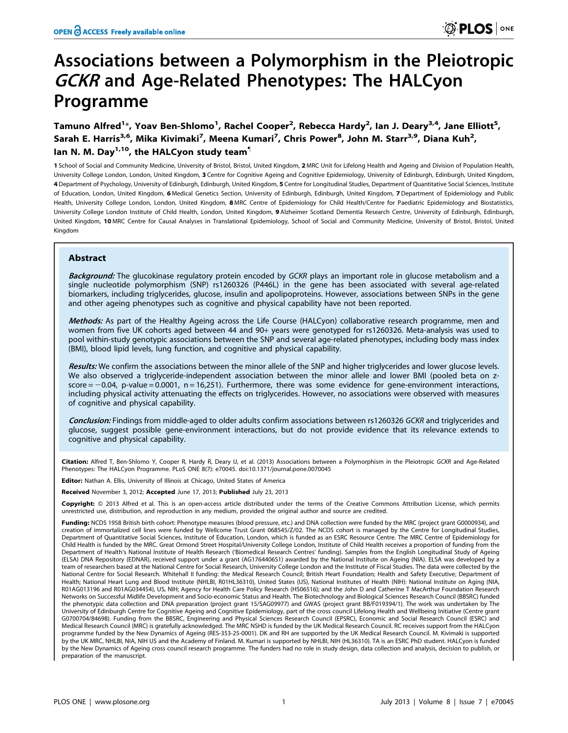# Associations between a Polymorphism in the Pleiotropic GCKR and Age-Related Phenotypes: The HALCyon Programme

Tamuno Alfred<sup>1</sup>\*, Yoav Ben-Shlomo<sup>1</sup>, Rachel Cooper<sup>2</sup>, Rebecca Hardy<sup>2</sup>, Ian J. Deary<sup>3,4</sup>, Jane Elliott<sup>5</sup>, Sarah E. Harris<sup>3,6</sup>, Mika Kivimaki<sup>7</sup>, Meena Kumari<sup>7</sup>, Chris Power<sup>8</sup>, John M. Starr<sup>3,9</sup>, Diana Kuh<sup>2</sup>, Ian N. M. Day<sup>1,10</sup>, the HALCyon study team<sup>1</sup>

1 School of Social and Community Medicine, University of Bristol, Bristol, United Kingdom, 2 MRC Unit for Lifelong Health and Ageing and Division of Population Health, University College London, London, United Kingdom, 3 Centre for Cognitive Ageing and Cognitive Epidemiology, University of Edinburgh, Edinburgh, United Kingdom, 4 Department of Psychology, University of Edinburgh, Edinburgh, United Kingdom, 5 Centre for Longitudinal Studies, Department of Quantitative Social Sciences, Institute of Education, London, United Kingdom, 6 Medical Genetics Section, University of Edinburgh, Edinburgh, United Kingdom, 7 Department of Epidemiology and Public Health, University College London, London, United Kingdom, 8 MRC Centre of Epidemiology for Child Health/Centre for Paediatric Epidemiology and Biostatistics, University College London Institute of Child Health, London, United Kingdom, 9 Alzheimer Scotland Dementia Research Centre, University of Edinburgh, Edinburgh, United Kingdom, 10 MRC Centre for Causal Analyses in Translational Epidemiology, School of Social and Community Medicine, University of Bristol, Bristol, United Kingdom

## Abstract

Background: The glucokinase regulatory protein encoded by GCKR plays an important role in glucose metabolism and a single nucleotide polymorphism (SNP) rs1260326 (P446L) in the gene has been associated with several age-related biomarkers, including triglycerides, glucose, insulin and apolipoproteins. However, associations between SNPs in the gene and other ageing phenotypes such as cognitive and physical capability have not been reported.

Methods: As part of the Healthy Ageing across the Life Course (HALCyon) collaborative research programme, men and women from five UK cohorts aged between 44 and 90+ years were genotyped for rs1260326. Meta-analysis was used to pool within-study genotypic associations between the SNP and several age-related phenotypes, including body mass index (BMI), blood lipid levels, lung function, and cognitive and physical capability.

Results: We confirm the associations between the minor allele of the SNP and higher triglycerides and lower glucose levels. We also observed a triglyceride-independent association between the minor allele and lower BMI (pooled beta on z $score = -0.04$ , p-value = 0.0001, n = 16,251). Furthermore, there was some evidence for gene-environment interactions, including physical activity attenuating the effects on triglycerides. However, no associations were observed with measures of cognitive and physical capability.

Conclusion: Findings from middle-aged to older adults confirm associations between rs1260326 GCKR and triglycerides and glucose, suggest possible gene-environment interactions, but do not provide evidence that its relevance extends to cognitive and physical capability.

Citation: Alfred T, Ben-Shlomo Y, Cooper R, Hardy R, Deary IJ, et al. (2013) Associations between a Polymorphism in the Pleiotropic GCKR and Age-Related Phenotypes: The HALCyon Programme. PLoS ONE 8(7): e70045. doi:10.1371/journal.pone.0070045

Editor: Nathan A. Ellis, University of Illinois at Chicago, United States of America

Received November 3, 2012; Accepted June 17, 2013; Published July 23, 2013

Copyright: © 2013 Alfred et al. This is an open-access article distributed under the terms of the Creative Commons Attribution License, which permits unrestricted use, distribution, and reproduction in any medium, provided the original author and source are credited.

Funding: NCDS 1958 British birth cohort: Phenotype measures (blood pressure, etc.) and DNA collection were funded by the MRC (project grant G0000934), and creation of immortalized cell lines were funded by Wellcome Trust Grant 068545/Z/02. The NCDS cohort is managed by the Centre for Longitudinal Studies, Department of Quantitative Social Sciences, Institute of Education, London, which is funded as an ESRC Resource Centre. The MRC Centre of Epidemiology for Child Health is funded by the MRC. Great Ormond Street Hospital/University College London, Institute of Child Health receives a proportion of funding from the Department of Health's National Institute of Health Research ('Biomedical Research Centres' funding). Samples from the English Longitudinal Study of Ageing (ELSA) DNA Repository (EDNAR), received support under a grant (AG1764406S1) awarded by the National Institute on Ageing (NIA). ELSA was developed by a team of researchers based at the National Centre for Social Research, University College London and the Institute of Fiscal Studies. The data were collected by the National Centre for Social Research. Whitehall II funding: the Medical Research Council; British Heart Foundation; Health and Safety Executive; Department of Health; National Heart Lung and Blood Institute (NHLBI, R01HL36310), United States (US), National Institutes of Health (NIH): National Institute on Aging (NIA, R01AG013196 and R01AG034454), US, NIH; Agency for Health Care Policy Research (HS06516); and the John D and Catherine T MacArthur Foundation Research Networks on Successful Midlife Development and Socio-economic Status and Health. The Biotechnology and Biological Sciences Research Council (BBSRC) funded the phenotypic data collection and DNA preparation (project grant 15/SAG09977) and GWAS (project grant BB/F019394/1). The work was undertaken by The University of Edinburgh Centre for Cognitive Ageing and Cognitive Epidemiology, part of the cross council Lifelong Health and Wellbeing Initiative (Centre grant G0700704/84698). Funding from the BBSRC, Engineering and Physical Sciences Research Council (EPSRC), Economic and Social Research Council (ESRC) and Medical Research Council (MRC) is gratefully acknowledged. The MRC NSHD is funded by the UK Medical Research Council. RC receives support from the HALCyon programme funded by the New Dynamics of Ageing (RES-353-25-0001). DK and RH are supported by the UK Medical Research Council. M. Kivimaki is supported by the UK MRC, NHLBI, NIA, NIH US and the Academy of Finland. M. Kumari is supported by NHLBI, NIH (HL36310). TA is an ESRC PhD student. HALCyon is funded by the New Dynamics of Ageing cross council research programme. The funders had no role in study design, data collection and analysis, decision to publish, or preparation of the manuscript.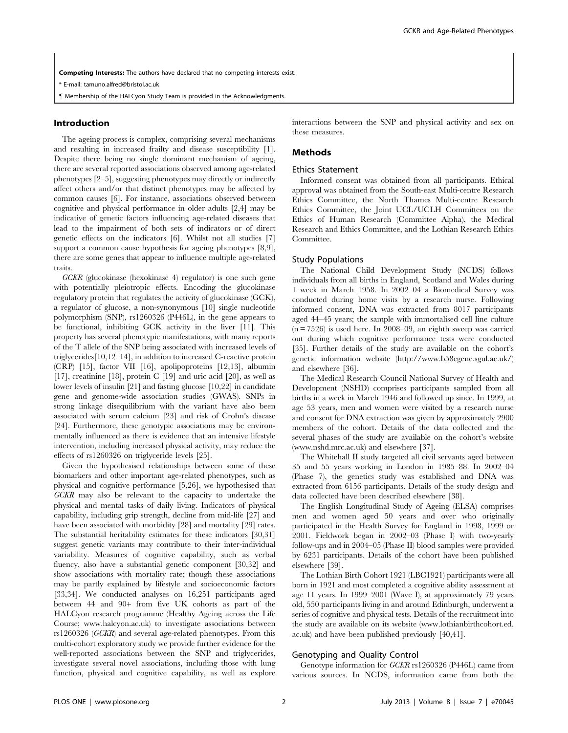Competing Interests: The authors have declared that no competing interests exist.

\* E-mail: tamuno.alfred@bristol.ac.uk

" Membership of the HALCyon Study Team is provided in the Acknowledgments.

### Introduction

The ageing process is complex, comprising several mechanisms and resulting in increased frailty and disease susceptibility [1]. Despite there being no single dominant mechanism of ageing, there are several reported associations observed among age-related phenotypes [2–5], suggesting phenotypes may directly or indirectly affect others and/or that distinct phenotypes may be affected by common causes [6]. For instance, associations observed between cognitive and physical performance in older adults [2,4] may be indicative of genetic factors influencing age-related diseases that lead to the impairment of both sets of indicators or of direct genetic effects on the indicators [6]. Whilst not all studies [7] support a common cause hypothesis for ageing phenotypes [8,9], there are some genes that appear to influence multiple age-related traits.

GCKR (glucokinase (hexokinase 4) regulator) is one such gene with potentially pleiotropic effects. Encoding the glucokinase regulatory protein that regulates the activity of glucokinase (GCK), a regulator of glucose, a non-synonymous [10] single nucleotide polymorphism (SNP), rs1260326 (P446L), in the gene appears to be functional, inhibiting GCK activity in the liver [11]. This property has several phenotypic manifestations, with many reports of the T allele of the SNP being associated with increased levels of triglycerides[10,12–14], in addition to increased C-reactive protein (CRP) [15], factor VII [16], apolipoproteins [12,13], albumin [17], creatinine [18], protein C [19] and uric acid [20], as well as lower levels of insulin [21] and fasting glucose [10,22] in candidate gene and genome-wide association studies (GWAS). SNPs in strong linkage disequilibrium with the variant have also been associated with serum calcium [23] and risk of Crohn's disease [24]. Furthermore, these genotypic associations may be environmentally influenced as there is evidence that an intensive lifestyle intervention, including increased physical activity, may reduce the effects of rs1260326 on triglyceride levels [25].

Given the hypothesised relationships between some of these biomarkers and other important age-related phenotypes, such as physical and cognitive performance [5,26], we hypothesised that GCKR may also be relevant to the capacity to undertake the physical and mental tasks of daily living. Indicators of physical capability, including grip strength, decline from mid-life [27] and have been associated with morbidity [28] and mortality [29] rates. The substantial heritability estimates for these indicators [30,31] suggest genetic variants may contribute to their inter-individual variability. Measures of cognitive capability, such as verbal fluency, also have a substantial genetic component [30,32] and show associations with mortality rate; though these associations may be partly explained by lifestyle and socioeconomic factors [33,34]. We conducted analyses on 16,251 participants aged between 44 and 90+ from five UK cohorts as part of the HALCyon research programme (Healthy Ageing across the Life Course; www.halcyon.ac.uk) to investigate associations between rs1260326 (GCKR) and several age-related phenotypes. From this multi-cohort exploratory study we provide further evidence for the well-reported associations between the SNP and triglycerides, investigate several novel associations, including those with lung function, physical and cognitive capability, as well as explore

interactions between the SNP and physical activity and sex on these measures.

## Methods

#### Ethics Statement

Informed consent was obtained from all participants. Ethical approval was obtained from the South-east Multi-centre Research Ethics Committee, the North Thames Multi-centre Research Ethics Committee, the Joint UCL/UCLH Committees on the Ethics of Human Research (Committee Alpha), the Medical Research and Ethics Committee, and the Lothian Research Ethics Committee.

#### Study Populations

The National Child Development Study (NCDS) follows individuals from all births in England, Scotland and Wales during 1 week in March 1958. In 2002–04 a Biomedical Survey was conducted during home visits by a research nurse. Following informed consent, DNA was extracted from 8017 participants aged 44–45 years; the sample with immortalised cell line culture  $(n = 7526)$  is used here. In 2008–09, an eighth sweep was carried out during which cognitive performance tests were conducted [35]. Further details of the study are available on the cohort's genetic information website (http://www.b58cgene.sgul.ac.uk/) and elsewhere [36].

The Medical Research Council National Survey of Health and Development (NSHD) comprises participants sampled from all births in a week in March 1946 and followed up since. In 1999, at age 53 years, men and women were visited by a research nurse and consent for DNA extraction was given by approximately 2900 members of the cohort. Details of the data collected and the several phases of the study are available on the cohort's website (www.nshd.mrc.ac.uk) and elsewhere [37].

The Whitehall II study targeted all civil servants aged between 35 and 55 years working in London in 1985–88. In 2002–04 (Phase 7), the genetics study was established and DNA was extracted from 6156 participants. Details of the study design and data collected have been described elsewhere [38].

The English Longitudinal Study of Ageing (ELSA) comprises men and women aged 50 years and over who originally participated in the Health Survey for England in 1998, 1999 or 2001. Fieldwork began in 2002–03 (Phase I) with two-yearly follow-ups and in 2004–05 (Phase II) blood samples were provided by 6231 participants. Details of the cohort have been published elsewhere [39].

The Lothian Birth Cohort 1921 (LBC1921) participants were all born in 1921 and most completed a cognitive ability assessment at age 11 years. In 1999–2001 (Wave I), at approximately 79 years old, 550 participants living in and around Edinburgh, underwent a series of cognitive and physical tests. Details of the recruitment into the study are available on its website (www.lothianbirthcohort.ed. ac.uk) and have been published previously [40,41].

#### Genotyping and Quality Control

Genotype information for GCKR rs1260326 (P446L) came from various sources. In NCDS, information came from both the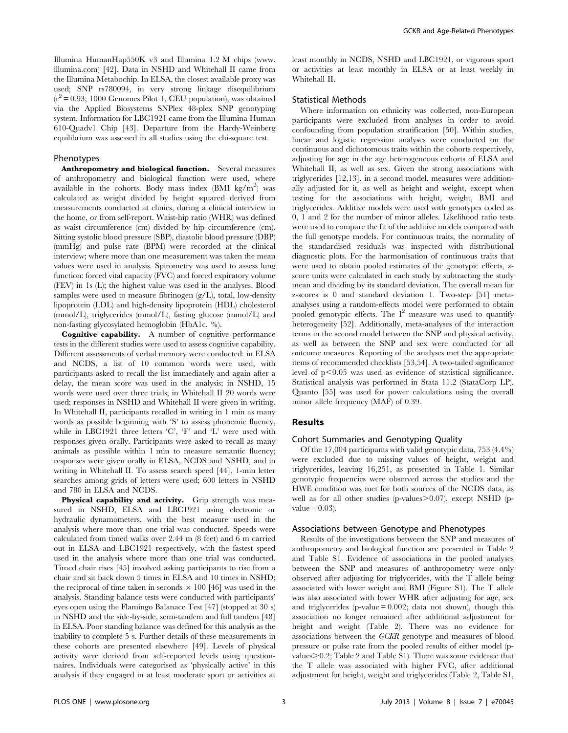Illumina HumanHap550K v3 and Illumina 1.2 M chips (www. illumina.com) [42]. Data in NSHD and Whitehall II came from the Illumina Metabochip. In ELSA, the closest available proxy was used; SNP rs780094, in very strong linkage disequilibrium  $(r^2 = 0.93; 1000$  Genomes Pilot 1, CEU population), was obtained via the Applied Biosystems SNPlex 48-plex SNP genotyping system. Information for LBC1921 came from the Illumina Human 610-Quadv1 Chip [43]. Departure from the Hardy-Weinberg equilibrium was assessed in all studies using the chi-square test.

#### Phenotypes

Anthropometry and biological function. Several measures of anthropometry and biological function were used, where available in the cohorts. Body mass index  $(BMI \t{kg/m^2})$  was calculated as weight divided by height squared derived from measurements conducted at clinics, during a clinical interview in the home, or from self-report. Waist-hip ratio (WHR) was defined as waist circumference (cm) divided by hip circumference (cm). Sitting systolic blood pressure (SBP), diastolic blood pressure (DBP) (mmHg) and pulse rate (BPM) were recorded at the clinical interview; where more than one measurement was taken the mean values were used in analysis. Spirometry was used to assess lung function: forced vital capacity (FVC) and forced expiratory volume (FEV) in 1s (L); the highest value was used in the analyses. Blood samples were used to measure fibrinogen  $(g/L)$ , total, low-density lipoprotein (LDL) and high-density lipoprotein (HDL) cholesterol (mmol/L), triglycerides (mmol/L), fasting glucose (mmol/L) and non-fasting glycosylated hemoglobin (HbA1c, %).

Cognitive capability. A number of cognitive performance tests in the different studies were used to assess cognitive capability. Different assessments of verbal memory were conducted: in ELSA and NCDS, a list of 10 common words were used, with participants asked to recall the list immediately and again after a delay, the mean score was used in the analysis; in NSHD, 15 words were used over three trials; in Whitehall II 20 words were used; responses in NSHD and Whitehall II were given in writing. In Whitehall II, participants recalled in writing in 1 min as many words as possible beginning with 'S' to assess phonemic fluency, while in LBC1921 three letters 'C', 'F' and 'L' were used with responses given orally. Participants were asked to recall as many animals as possible within 1 min to measure semantic fluency; responses were given orally in ELSA, NCDS and NSHD, and in writing in Whitehall II. To assess search speed [44], 1-min letter searches among grids of letters were used; 600 letters in NSHD and 780 in ELSA and NCDS.

Physical capability and activity. Grip strength was measured in NSHD, ELSA and LBC1921 using electronic or hydraulic dynamometers, with the best measure used in the analysis where more than one trial was conducted. Speeds were calculated from timed walks over 2.44 m (8 feet) and 6 m carried out in ELSA and LBC1921 respectively, with the fastest speed used in the analysis where more than one trial was conducted. Timed chair rises [45] involved asking participants to rise from a chair and sit back down 5 times in ELSA and 10 times in NSHD; the reciprocal of time taken in seconds  $\times$  100 [46] was used in the analysis. Standing balance tests were conducted with participants' eyes open using the Flamingo Balanace Test [47] (stopped at 30 s) in NSHD and the side-by-side, semi-tandem and full tandem [48] in ELSA. Poor standing balance was defined for this analysis as the inability to complete 5 s. Further details of these measurements in these cohorts are presented elsewhere [49]. Levels of physical activity were derived from self-reported levels using questionnaires. Individuals were categorised as 'physically active' in this analysis if they engaged in at least moderate sport or activities at least monthly in NCDS, NSHD and LBC1921, or vigorous sport or activities at least monthly in ELSA or at least weekly in Whitehall II.

## Statistical Methods

Where information on ethnicity was collected, non-European participants were excluded from analyses in order to avoid confounding from population stratification [50]. Within studies, linear and logistic regression analyses were conducted on the continuous and dichotomous traits within the cohorts respectively, adjusting for age in the age heterogeneous cohorts of ELSA and Whitehall II, as well as sex. Given the strong associations with triglycerides [12,13], in a second model, measures were additionally adjusted for it, as well as height and weight, except when testing for the associations with height, weight, BMI and triglycerides. Additive models were used with genotypes coded as 0, 1 and 2 for the number of minor alleles. Likelihood ratio tests were used to compare the fit of the additive models compared with the full genotype models. For continuous traits, the normality of the standardised residuals was inspected with distributional diagnostic plots. For the harmonisation of continuous traits that were used to obtain pooled estimates of the genotypic effects, zscore units were calculated in each study by subtracting the study mean and dividing by its standard deviation. The overall mean for z-scores is 0 and standard deviation 1. Two-step [51] metaanalyses using a random-effects model were performed to obtain pooled genotypic effects. The  $I^2$  measure was used to quantify heterogeneity [52]. Additionally, meta-analyses of the interaction terms in the second model between the SNP and physical activity, as well as between the SNP and sex were conducted for all outcome measures. Reporting of the analyses met the appropriate items of recommended checklists [53,54]. A two-tailed significance level of  $p<0.05$  was used as evidence of statistical significance. Statistical analysis was performed in Stata 11.2 (StataCorp LP). Quanto [55] was used for power calculations using the overall minor allele frequency (MAF) of 0.39.

#### Results

## Cohort Summaries and Genotyping Quality

Of the 17,004 participants with valid genotypic data, 753 (4.4%) were excluded due to missing values of height, weight and triglycerides, leaving 16,251, as presented in Table 1. Similar genotypic frequencies were observed across the studies and the HWE condition was met for both sources of the NCDS data, as well as for all other studies (p-values $> 0.07$ ), except NSHD (pvalue  $= 0.03$ ).

#### Associations between Genotype and Phenotypes

Results of the investigations between the SNP and measures of anthropometry and biological function are presented in Table 2 and Table S1. Evidence of associations in the pooled analyses between the SNP and measures of anthropometry were only observed after adjusting for triglycerides, with the T allele being associated with lower weight and BMI (Figure S1). The T allele was also associated with lower WHR after adjusting for age, sex and triglycerides (p-value  $= 0.002$ ; data not shown), though this association no longer remained after additional adjustment for height and weight (Table 2). There was no evidence for associations between the GCKR genotype and measures of blood pressure or pulse rate from the pooled results of either model (pvalues > 0.2; Table 2 and Table S1). There was some evidence that the T allele was associated with higher FVC, after additional adjustment for height, weight and triglycerides (Table 2, Table S1,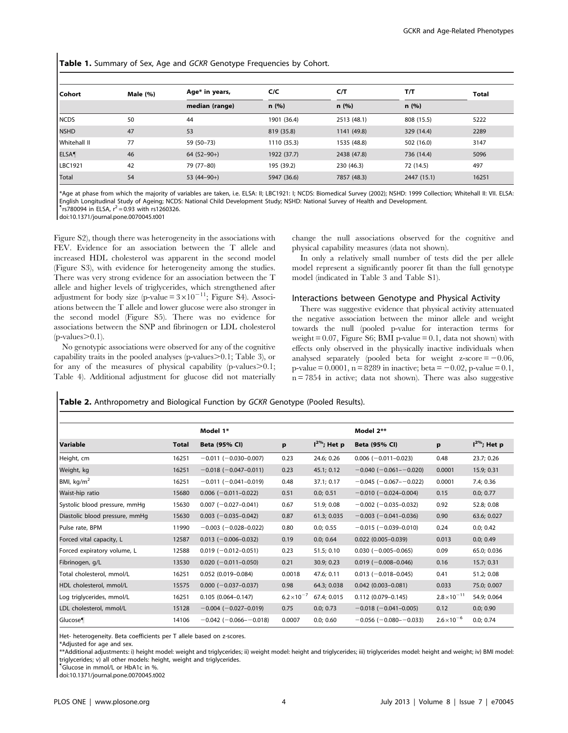Table 1. Summary of Sex, Age and GCKR Genotype Frequencies by Cohort.

| l Cohort     | Male $(\% )$ | Age* in years, | C/C         | C/T         | T/T         | <b>Total</b> |
|--------------|--------------|----------------|-------------|-------------|-------------|--------------|
|              |              | median (range) | n(%)        | n(%)        | n(%)        |              |
| <b>NCDS</b>  | 50           | 44             | 1901 (36.4) | 2513 (48.1) | 808 (15.5)  | 5222         |
| <b>NSHD</b>  | 47           | 53             | 819 (35.8)  | 1141 (49.8) | 329 (14.4)  | 2289         |
| Whitehall II | 77           | 59 (50-73)     | 1110 (35.3) | 1535 (48.8) | 502 (16.0)  | 3147         |
| <b>ELSA</b>  | 46           | $64(52-90+)$   | 1922 (37.7) | 2438 (47.8) | 736 (14.4)  | 5096         |
| LBC1921      | 42           | 79 (77-80)     | 195 (39.2)  | 230 (46.3)  | 72 (14.5)   | 497          |
| Total        | 54           | 53 $(44-90+)$  | 5947 (36.6) | 7857 (48.3) | 2447 (15.1) | 16251        |

\*Age at phase from which the majority of variables are taken, i.e. ELSA: II; LBC1921: I; NCDS: Biomedical Survey (2002); NSHD: 1999 Collection; Whitehall II: VII. ELSA: English Longitudinal Study of Ageing; NCDS: National Child Development Study; NSHD: National Survey of Health and Development.  $\frac{1}{1}$ rs780094 in ELSA,  $r^2 = 0.93$  with rs1260326.

doi:10.1371/journal.pone.0070045.t001

Figure S2), though there was heterogeneity in the associations with FEV. Evidence for an association between the T allele and increased HDL cholesterol was apparent in the second model (Figure S3), with evidence for heterogeneity among the studies. There was very strong evidence for an association between the T allele and higher levels of triglycerides, which strengthened after adjustment for body size (p-value =  $3 \times 10^{-11}$ ; Figure S4). Associations between the T allele and lower glucose were also stronger in the second model (Figure S5). There was no evidence for associations between the SNP and fibrinogen or LDL cholesterol  $(p\n-values>0.1)$ .

No genotypic associations were observed for any of the cognitive capability traits in the pooled analyses (p-values $\geq 0.1$ ; Table 3), or for any of the measures of physical capability (p-values $>0.1$ ; Table 4). Additional adjustment for glucose did not materially

change the null associations observed for the cognitive and physical capability measures (data not shown).

In only a relatively small number of tests did the per allele model represent a significantly poorer fit than the full genotype model (indicated in Table 3 and Table S1).

## Interactions between Genotype and Physical Activity

There was suggestive evidence that physical activity attenuated the negative association between the minor allele and weight towards the null (pooled p-value for interaction terms for weight  $= 0.07$ , Figure S6; BMI p-value  $= 0.1$ , data not shown) with effects only observed in the physically inactive individuals when analysed separately (pooled beta for weight  $z$ -score  $= -0.06$ , p-value =  $0.0001$ , n = 8289 in inactive; beta =  $-0.02$ , p-value = 0.1,  $n = 7854$  in active; data not shown). There was also suggestive

#### Table 2. Anthropometry and Biological Function by GCKR Genotype (Pooled Results).

|                                |              | Model 1*                      |                      |                   | Model 2**                     |                       |                   |  |
|--------------------------------|--------------|-------------------------------|----------------------|-------------------|-------------------------------|-----------------------|-------------------|--|
| Variable                       | <b>Total</b> | Beta (95% CI)                 | p                    | $I^{2\%}$ ; Het p | Beta (95% CI)                 | p                     | $I^{2\%}$ ; Het p |  |
| Height, cm                     | 16251        | $-0.011$ ( $-0.030 - 0.007$ ) | 0.23                 | 24.6; 0.26        | $0.006 (-0.011 - 0.023)$      | 0.48                  | 23.7; 0.26        |  |
| Weight, kg                     | 16251        | $-0.018$ ( $-0.047 - 0.011$ ) | 0.23                 | 45.1; 0.12        | $-0.040$ ( $-0.061 - 0.020$ ) | 0.0001                | 15.9; 0.31        |  |
| BMI, $kg/m2$                   | 16251        | $-0.011 (-0.041 - 0.019)$     | 0.48                 | 37.1; 0.17        | $-0.045$ ( $-0.067 - 0.022$ ) | 0.0001                | 7.4; 0.36         |  |
| Waist-hip ratio                | 15680        | $0.006 (-0.011 - 0.022)$      | 0.51                 | 0.0; 0.51         | $-0.010$ ( $-0.024 - 0.004$ ) | 0.15                  | 0.0; 0.77         |  |
| Systolic blood pressure, mmHq  | 15630        | $0.007 (-0.027 - 0.041)$      | 0.67                 | 51.9; 0.08        | $-0.002$ ( $-0.035 - 0.032$ ) | 0.92                  | 52.8; 0.08        |  |
| Diastolic blood pressure, mmHq | 15630        | $0.003 (-0.035 - 0.042)$      | 0.87                 | 61.3; 0.035       | $-0.003$ ( $-0.041 - 0.036$ ) | 0.90                  | 63.6; 0.027       |  |
| Pulse rate, BPM                | 11990        | $-0.003$ ( $-0.028 - 0.022$ ) | 0.80                 | 0.0; 0.55         | $-0.015$ ( $-0.039 - 0.010$ ) | 0.24                  | 0.0; 0.42         |  |
| Forced vital capacity, L       | 12587        | $0.013 (-0.006 - 0.032)$      | 0.19                 | 0.0; 0.64         | $0.022$ (0.005-0.039)         | 0.013                 | 0.0; 0.49         |  |
| Forced expiratory volume, L    | 12588        | $0.019 (-0.012 - 0.051)$      | 0.23                 | 51.5; 0.10        | $0.030 (-0.005 - 0.065)$      | 0.09                  | 65.0; 0.036       |  |
| Fibrinogen, g/L                | 13530        | $0.020 (-0.011 - 0.050)$      | 0.21                 | 30.9; 0.23        | $0.019 (-0.008 - 0.046)$      | 0.16                  | 15.7; 0.31        |  |
| Total cholesterol, mmol/L      | 16251        | $0.052$ (0.019-0.084)         | 0.0018               | 47.6; 0.11        | $0.013 (-0.018 - 0.045)$      | 0.41                  | 51.2; 0.08        |  |
| HDL cholesterol, mmol/L        | 15575        | $0.000 (-0.037 - 0.037)$      | 0.98                 | 64.3; 0.038       | $0.042$ (0.003-0.081)         | 0.033                 | 75.0; 0.007       |  |
| Log triglycerides, mmol/L      | 16251        | $0.105(0.064 - 0.147)$        | $6.2 \times 10^{-7}$ | 67.4; 0.015       | $0.112(0.079 - 0.145)$        | $2.8 \times 10^{-11}$ | 54.9; 0.064       |  |
| LDL cholesterol, mmol/L        | 15128        | $-0.004$ ( $-0.027-0.019$ )   | 0.75                 | 0.0; 0.73         | $-0.018$ ( $-0.041 - 0.005$ ) | 0.12                  | 0.0; 0.90         |  |
| Glucose                        | 14106        | $-0.042$ ( $-0.066 - 0.018$ ) | 0.0007               | 0.0:0.60          | $-0.056$ ( $-0.080 - 0.033$ ) | $2.6 \times 10^{-6}$  | 0.0; 0.74         |  |

Het- heterogeneity. Beta coefficients per T allele based on z-scores.

\*Adjusted for age and sex.

\*\*Additional adjustments: i) height model: weight and triglycerides; ii) weight model: height and triglycerides; iii) triglycerides model: height and weight; iv) BMI model: triglycerides; v) all other models: height, weight and triglycerides.

" Glucose in mmol/L or HbA1c in %.

doi:10.1371/journal.pone.0070045.t002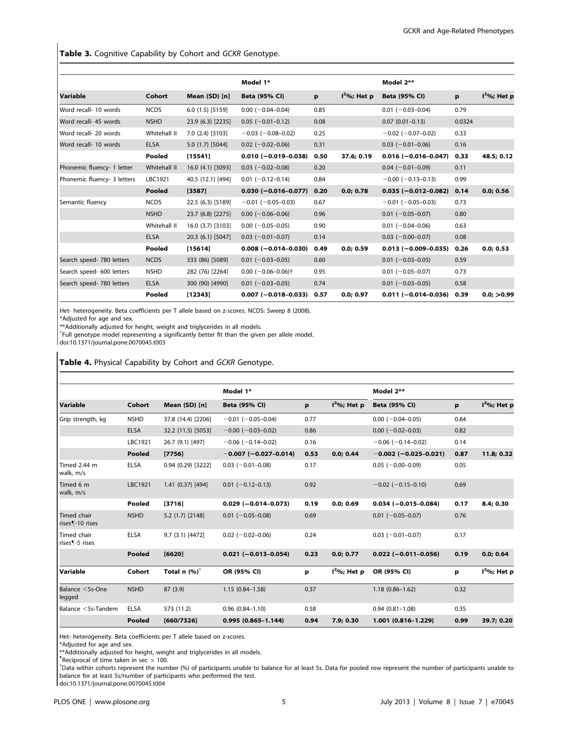Table 3. Cognitive Capability by Cohort and GCKR Genotype.

|                             |              |                   | Model 1*                   |      |                 | Model 2**                  |        |               |
|-----------------------------|--------------|-------------------|----------------------------|------|-----------------|----------------------------|--------|---------------|
| Variable                    | Cohort       | Mean (SD) [n]     | Beta (95% CI)              | p    | $l^2\%$ ; Het p | Beta (95% CI)              | р      | $12%$ ; Het p |
| Word recall- 10 words       | <b>NCDS</b>  | 6.0(1.5)[5159]    | $0.00 (-0.04 - 0.04)$      | 0.85 |                 | $0.01$ (-0.03-0.04)        | 0.79   |               |
| Word recall- 45 words       | <b>NSHD</b>  | 23.9 (6.3) [2235] | $0.05$ (-0.01-0.12)        | 0.08 |                 | $0.07(0.01 - 0.13)$        | 0.0324 |               |
| Word recall- 20 words       | Whitehall II | 7.0 (2.4) [3103]  | $-0.03$ ( $-0.08-0.02$ )   | 0.25 |                 | $-0.02$ ( $-0.07-0.02$ )   | 0.33   |               |
| Word recall- 10 words       | <b>ELSA</b>  | 5.0 (1.7) [5044]  | $0.02$ (-0.02-0.06)        | 0.31 |                 | $0.03$ (-0.01-0.06)        | 0.16   |               |
|                             | Pooled       | [15541]           | $0.010 (-0.019 - 0.038)$   | 0.50 | 37.6; 0.19      | $0.016 (-0.016 - 0.047)$   | 0.33   | 48.5; 0.12    |
| Phonemic fluency- 1 letter  | Whitehall II | 16.0 (4.1) [3093] | $0.03$ (-0.02-0.08)        | 0.20 |                 | $0.04 (-0.01 - 0.09)$      | 0.11   |               |
| Phonemic fluency- 3 letters | LBC1921      | 40.5 (12.1) [494] | $0.01 (-0.12 - 0.14)$      | 0.84 |                 | $-0.00$ ( $-0.13-0.13$ )   | 0.99   |               |
|                             | Pooled       | [3587]            | $0.030 (-0.016 - 0.077)$   | 0.20 | 0.0; 0.78       | $0.035 (-0.012 - 0.082)$   | 0.14   | 0.0; 0.56     |
| Semantic fluency            | <b>NCDS</b>  | 22.5 (6.3) [5189] | $-0.01$ ( $-0.05 - 0.03$ ) | 0.67 |                 | $-0.01$ ( $-0.05 - 0.03$ ) | 0.73   |               |
|                             | <b>NSHD</b>  | 23.7 (6.8) [2275] | $0.00 (-0.06 - 0.06)$      | 0.96 |                 | $0.01$ (-0.05-0.07)        | 0.80   |               |
|                             | Whitehall II | 16.0 (3.7) [3103] | $0.00 (-0.05 - 0.05)$      | 0.90 |                 | $0.01$ (-0.04-0.06)        | 0.63   |               |
|                             | <b>ELSA</b>  | 20.3 (6.1) [5047] | $0.03$ (-0.01-0.07)        | 0.14 |                 | $0.03$ (-0.00-0.07)        | 0.08   |               |
|                             | Pooled       | [15614]           | $0.008 (-0.014 - 0.030)$   | 0.49 | 0.0; 0.59       | $0.013 (-0.009 - 0.035)$   | 0.26   | 0.0; 0.53     |
| Search speed- 780 letters   | <b>NCDS</b>  | 333 (86) [5089]   | $0.01$ (-0.03-0.05)        | 0.60 |                 | $0.01$ (-0.03-0.05)        | 0.59   |               |
| Search speed- 600 letters   | <b>NSHD</b>  | 282 (76) [2264]   | $0.00 (-0.06 - 0.06)^+$    | 0.95 |                 | $0.01$ (-0.05-0.07)        | 0.73   |               |
| Search speed- 780 letters   | <b>ELSA</b>  | 300 (90) [4990]   | $0.01$ (-0.03-0.05)        | 0.74 |                 | $0.01$ (-0.03-0.05)        | 0.58   |               |
|                             | Pooled       | [12343]           | $0.007 (-0.018 - 0.033)$   | 0.57 | 0.0; 0.97       | $0.011 (-0.014 - 0.036)$   | 0.39   | $0.0:$ >0.99  |

Het- heterogeneity. Beta coefficients per T allele based on z-scores. NCDS: Sweep 8 (2008).

\*Adjusted for age and sex.

\*\*Additionally adjusted for height, weight and triglycerides in all models.

<sup>†</sup>Full genotype model representing a significantly better fit than the given per allele model.

doi:10.1371/journal.pone.0070045.t003

## Table 4. Physical Capability by Cohort and GCKR Genotype.

|                                            |             |                         | Model 1*                   |      |               | Model 2**                |      |               |
|--------------------------------------------|-------------|-------------------------|----------------------------|------|---------------|--------------------------|------|---------------|
| Variable                                   | Cohort      | Mean (SD) [n]           | Beta (95% CI)              | p    | $12%$ ; Het p | Beta (95% CI)            | p    | $I2%$ ; Het p |
| Grip strength, kg                          | <b>NSHD</b> | 37.8 (14.4) [2206]      | $-0.01$ ( $-0.05 - 0.04$ ) | 0.77 |               | $0.00$ (-0.04-0.05)      | 0.84 |               |
|                                            | <b>ELSA</b> | 32.2 (11.5) [5053]      | $-0.00$ ( $-0.03 - 0.02$ ) | 0.86 |               | $0.00 (-0.02 - 0.03)$    | 0.82 |               |
|                                            | LBC1921     | 26.7 (9.1) [497]        | $-0.06$ ( $-0.14 - 0.02$ ) | 0.16 |               | $-0.06$ ( $-0.14-0.02$ ) | 0.14 |               |
|                                            | Pooled      | [7756]                  | $-0.007(-0.027-0.014)$     | 0.53 | 0.0; 0.44     | $-0.002$ (-0.025-0.021)  | 0.87 | 11.8; 0.32    |
| Timed 2.44 m<br>walk, m/s                  | <b>ELSA</b> | 0.94 (0.29) [3222]      | $0.03$ (-0.01-0.08)        | 0.17 |               | $0.05$ (-0.00-0.09)      | 0.05 |               |
| Timed 6 m<br>walk, m/s                     | LBC1921     | 1.41 (0.37) [494]       | $0.01$ (-0.12-0.13)        | 0.92 |               | $-0.02$ (-0.15-0.10)     | 0.69 |               |
|                                            | Pooled      | [3716]                  | $0.029 (-0.014 - 0.073)$   | 0.19 | 0.0; 0.69     | $0.034 (-0.015 - 0.084)$ | 0.17 | 8.4; 0.30     |
| Timed chair<br>rises¶-10 rises             | <b>NSHD</b> | 5.2 (1.7) [2148]        | $0.01$ (-0.05-0.08)        | 0.69 |               | $0.01$ (-0.05-0.07)      | 0.76 |               |
| Timed chair<br>rises <sup>-</sup> -5 rises | <b>ELSA</b> | 9.7 (3.1) [4472]        | $0.02$ (-0.02-0.06)        | 0.24 |               | $0.03$ (-0.01-0.07)      | 0.17 |               |
|                                            | Pooled      | [6620]                  | $0.021 (-0.013 - 0.054)$   | 0.23 | 0.0; 0.77     | $0.022 (-0.011 - 0.056)$ | 0.19 | 0.0; 0.64     |
| Variable                                   | Cohort      | Total n $(%)^{\dagger}$ | OR (95% CI)                | p    | $12%$ ; Het p | OR (95% CI)              | p    | $12%$ ; Het p |
| Balance <5s-One<br>legged                  | <b>NSHD</b> | 87 (3.9)                | $1.15(0.84 - 1.58)$        | 0.37 |               | $1.18(0.86 - 1.62)$      | 0.32 |               |
| Balance <5s-Tandem                         | <b>ELSA</b> | 573 (11.2)              | $0.96(0.84 - 1.10)$        | 0.58 |               | $0.94(0.81 - 1.08)$      | 0.35 |               |
|                                            | Pooled      | [660/7326]              | $0.995(0.865 - 1.144)$     | 0.94 | 7.9: 0.30     | 1.001 (0.816-1.229)      | 0.99 | 39.7; 0.20    |

Het- heterogeneity. Beta coefficients per T allele based on z-scores.

\*Adjusted for age and sex.

\*\*Additionally adjusted for height, weight and triglycerides in all models.

<sup>1</sup> Reciprocal of time taken in sec  $\times$  100.

Data within cohorts represent the number (%) of participants unable to balance for at least 5s. Data for pooled row represent the number of participants unable to balance for at least 5s/number of participants who performed the test.

doi:10.1371/journal.pone.0070045.t004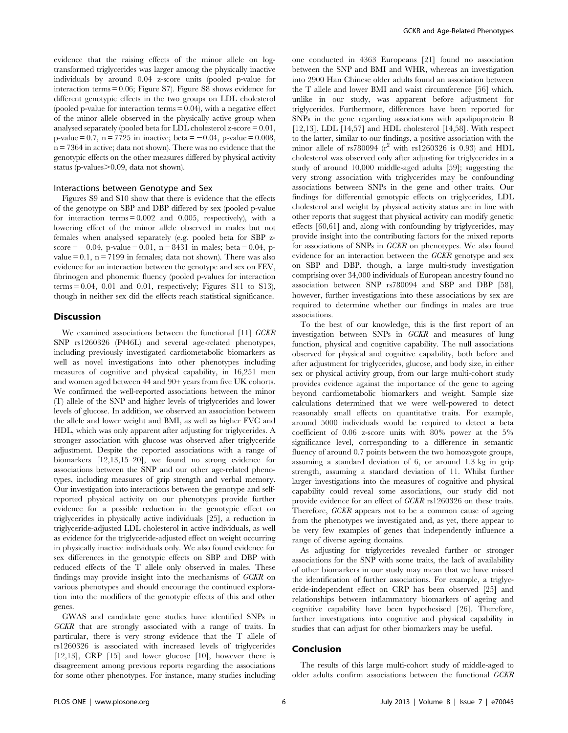evidence that the raising effects of the minor allele on logtransformed triglycerides was larger among the physically inactive individuals by around 0.04 z-score units (pooled p-value for interaction terms = 0.06; Figure S7). Figure S8 shows evidence for different genotypic effects in the two groups on LDL cholesterol (pooled p-value for interaction terms  $= 0.04$ ), with a negative effect of the minor allele observed in the physically active group when analysed separately (pooled beta for LDL cholesterol z-score = 0.01, p-value = 0.7,  $n = 7725$  in inactive; beta = -0.04, p-value = 0.008, n = 7364 in active; data not shown). There was no evidence that the genotypic effects on the other measures differed by physical activity status (p-values $\geq$ 0.09, data not shown).

#### Interactions between Genotype and Sex

Figures S9 and S10 show that there is evidence that the effects of the genotype on SBP and DBP differed by sex (pooled p-value for interaction terms = 0.002 and 0.005, respectively), with a lowering effect of the minor allele observed in males but not females when analysed separately (e.g. pooled beta for SBP z $score = -0.04$ , p-value = 0.01, n = 8431 in males; beta = 0.04, pvalue  $= 0.1$ , n  $= 7199$  in females; data not shown). There was also evidence for an interaction between the genotype and sex on FEV, fibrinogen and phonemic fluency (pooled p-values for interaction terms  $= 0.04$ , 0.01 and 0.01, respectively; Figures S11 to S13), though in neither sex did the effects reach statistical significance.

## Discussion

We examined associations between the functional [11] GCKR SNP rs1260326 (P446L) and several age-related phenotypes, including previously investigated cardiometabolic biomarkers as well as novel investigations into other phenotypes including measures of cognitive and physical capability, in 16,251 men and women aged between 44 and 90+ years from five UK cohorts. We confirmed the well-reported associations between the minor (T) allele of the SNP and higher levels of triglycerides and lower levels of glucose. In addition, we observed an association between the allele and lower weight and BMI, as well as higher FVC and HDL, which was only apparent after adjusting for triglycerides. A stronger association with glucose was observed after triglyceride adjustment. Despite the reported associations with a range of biomarkers [12,13,15–20], we found no strong evidence for associations between the SNP and our other age-related phenotypes, including measures of grip strength and verbal memory. Our investigation into interactions between the genotype and selfreported physical activity on our phenotypes provide further evidence for a possible reduction in the genotypic effect on triglycerides in physically active individuals [25], a reduction in triglyceride-adjusted LDL cholesterol in active individuals, as well as evidence for the triglyceride-adjusted effect on weight occurring in physically inactive individuals only. We also found evidence for sex differences in the genotypic effects on SBP and DBP with reduced effects of the T allele only observed in males. These findings may provide insight into the mechanisms of GCKR on various phenotypes and should encourage the continued exploration into the modifiers of the genotypic effects of this and other genes.

GWAS and candidate gene studies have identified SNPs in GCKR that are strongly associated with a range of traits. In particular, there is very strong evidence that the T allele of rs1260326 is associated with increased levels of triglycerides [12,13], CRP [15] and lower glucose [10], however there is disagreement among previous reports regarding the associations for some other phenotypes. For instance, many studies including one conducted in 4363 Europeans [21] found no association between the SNP and BMI and WHR, whereas an investigation into 2900 Han Chinese older adults found an association between the T allele and lower BMI and waist circumference [56] which, unlike in our study, was apparent before adjustment for triglycerides. Furthermore, differences have been reported for SNPs in the gene regarding associations with apolipoprotein B  $[12,13]$ , LDL  $[14,57]$  and HDL cholesterol  $[14,58]$ . With respect to the latter, similar to our findings, a positive association with the minor allele of  $rs780094$  ( $r^2$  with  $rs1260326$  is 0.93) and HDL cholesterol was observed only after adjusting for triglycerides in a study of around 10,000 middle-aged adults [59]; suggesting the very strong association with triglycerides may be confounding associations between SNPs in the gene and other traits. Our findings for differential genotypic effects on triglycerides, LDL cholesterol and weight by physical activity status are in line with other reports that suggest that physical activity can modify genetic effects [60,61] and, along with confounding by triglycerides, may provide insight into the contributing factors for the mixed reports for associations of SNPs in GCKR on phenotypes. We also found evidence for an interaction between the GCKR genotype and sex on SBP and DBP, though, a large multi-study investigation comprising over 34,000 individuals of European ancestry found no association between SNP rs780094 and SBP and DBP [58], however, further investigations into these associations by sex are required to determine whether our findings in males are true associations.

To the best of our knowledge, this is the first report of an investigation between SNPs in GCKR and measures of lung function, physical and cognitive capability. The null associations observed for physical and cognitive capability, both before and after adjustment for triglycerides, glucose, and body size, in either sex or physical activity group, from our large multi-cohort study provides evidence against the importance of the gene to ageing beyond cardiometabolic biomarkers and weight. Sample size calculations determined that we were well-powered to detect reasonably small effects on quantitative traits. For example, around 5000 individuals would be required to detect a beta coefficient of 0.06 z-score units with 80% power at the 5% significance level, corresponding to a difference in semantic fluency of around 0.7 points between the two homozygote groups, assuming a standard deviation of 6, or around 1.3 kg in grip strength, assuming a standard deviation of 11. Whilst further larger investigations into the measures of cognitive and physical capability could reveal some associations, our study did not provide evidence for an effect of GCKR rs1260326 on these traits. Therefore, GCKR appears not to be a common cause of ageing from the phenotypes we investigated and, as yet, there appear to be very few examples of genes that independently influence a range of diverse ageing domains.

As adjusting for triglycerides revealed further or stronger associations for the SNP with some traits, the lack of availability of other biomarkers in our study may mean that we have missed the identification of further associations. For example, a triglyceride-independent effect on CRP has been observed [25] and relationships between inflammatory biomarkers of ageing and cognitive capability have been hypothesised [26]. Therefore, further investigations into cognitive and physical capability in studies that can adjust for other biomarkers may be useful.

#### Conclusion

The results of this large multi-cohort study of middle-aged to older adults confirm associations between the functional GCKR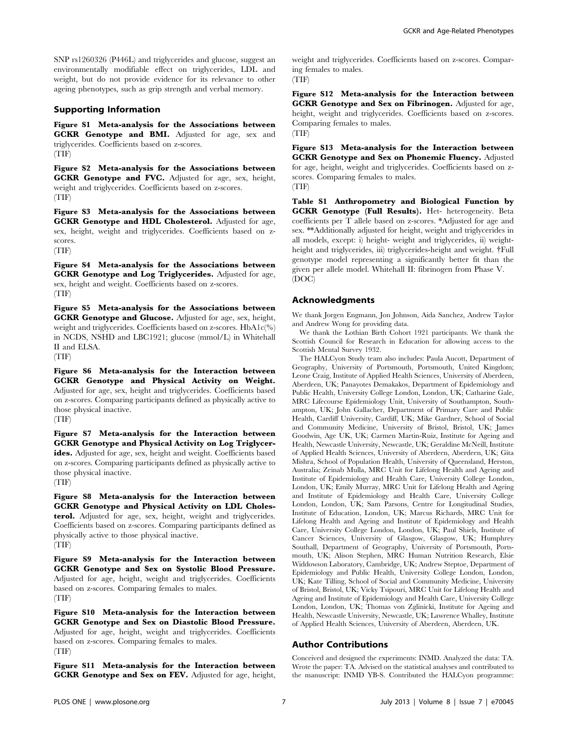SNP rs1260326 (P446L) and triglycerides and glucose, suggest an environmentally modifiable effect on triglycerides, LDL and weight, but do not provide evidence for its relevance to other ageing phenotypes, such as grip strength and verbal memory.

## Supporting Information

Figure S1 Meta-analysis for the Associations between GCKR Genotype and BMI. Adjusted for age, sex and triglycerides. Coefficients based on z-scores. (TIF)

Figure S2 Meta-analysis for the Associations between GCKR Genotype and FVC. Adjusted for age, sex, height, weight and triglycerides. Coefficients based on z-scores. (TIF)

Figure S3 Meta-analysis for the Associations between GCKR Genotype and HDL Cholesterol. Adjusted for age, sex, height, weight and triglycerides. Coefficients based on zscores.

(TIF)

Figure S4 Meta-analysis for the Associations between GCKR Genotype and Log Triglycerides. Adjusted for age, sex, height and weight. Coefficients based on z-scores. (TIF)

Figure S5 Meta-analysis for the Associations between GCKR Genotype and Glucose. Adjusted for age, sex, height, weight and triglycerides. Coefficients based on z-scores. HbA1c(%) in NCDS, NSHD and LBC1921; glucose (mmol/L) in Whitehall II and ELSA.

(TIF)

Figure S6 Meta-analysis for the Interaction between GCKR Genotype and Physical Activity on Weight. Adjusted for age, sex, height and triglycerides. Coefficients based on z-scores. Comparing participants defined as physically active to those physical inactive.

(TIF)

Figure S7 Meta-analysis for the Interaction between GCKR Genotype and Physical Activity on Log Triglycerides. Adjusted for age, sex, height and weight. Coefficients based on z-scores. Comparing participants defined as physically active to those physical inactive.

(TIF)

Figure S8 Meta-analysis for the Interaction between GCKR Genotype and Physical Activity on LDL Cholesterol. Adjusted for age, sex, height, weight and triglycerides. Coefficients based on z-scores. Comparing participants defined as physically active to those physical inactive. (TIF)

Figure S9 Meta-analysis for the Interaction between GCKR Genotype and Sex on Systolic Blood Pressure. Adjusted for age, height, weight and triglycerides. Coefficients based on z-scores. Comparing females to males. (TIF)

Figure S10 Meta-analysis for the Interaction between GCKR Genotype and Sex on Diastolic Blood Pressure. Adjusted for age, height, weight and triglycerides. Coefficients based on z-scores. Comparing females to males. (TIF)

Figure S11 Meta-analysis for the Interaction between GCKR Genotype and Sex on FEV. Adjusted for age, height, weight and triglycerides. Coefficients based on z-scores. Comparing females to males. (TIF)

Figure S12 Meta-analysis for the Interaction between GCKR Genotype and Sex on Fibrinogen. Adjusted for age, height, weight and triglycerides. Coefficients based on z-scores. Comparing females to males. (TIF)

Figure S13 Meta-analysis for the Interaction between GCKR Genotype and Sex on Phonemic Fluency. Adjusted for age, height, weight and triglycerides. Coefficients based on zscores. Comparing females to males. (TIF)

Table S1 Anthropometry and Biological Function by GCKR Genotype (Full Results). Het- heterogeneity. Beta coefficients per T allele based on z-scores. \*Adjusted for age and sex. \*\*Additionally adjusted for height, weight and triglycerides in all models, except: i) height- weight and triglycerides, ii) weightheight and triglycerides, iii) triglycerides-height and weight. {Full genotype model representing a significantly better fit than the given per allele model. Whitehall II: fibrinogen from Phase V.

## Acknowledgments

(DOC)

We thank Jorgen Engmann, Jon Johnson, Aida Sanchez, Andrew Taylor and Andrew Wong for providing data.

We thank the Lothian Birth Cohort 1921 participants. We thank the Scottish Council for Research in Education for allowing access to the Scottish Mental Survey 1932.

The HALCyon Study team also includes: Paula Aucott, Department of Geography, University of Portsmouth, Portsmouth, United Kingdom; Leone Craig, Institute of Applied Health Sciences, University of Aberdeen, Aberdeen, UK; Panayotes Demakakos, Department of Epidemiology and Public Health, University College London, London, UK; Catharine Gale, MRC Lifecourse Epidemiology Unit, University of Southampton, Southampton, UK; John Gallacher, Department of Primary Care and Public Health, Cardiff University, Cardiff, UK; Mike Gardner, School of Social and Community Medicine, University of Bristol, Bristol, UK; James Goodwin, Age UK, UK; Carmen Martin-Ruiz, Institute for Ageing and Health, Newcastle University, Newcastle, UK; Geraldine McNeill, Institute of Applied Health Sciences, University of Aberdeen, Aberdeen, UK; Gita Mishra, School of Population Health, University of Queensland, Herston, Australia; Zeinab Mulla, MRC Unit for Lifelong Health and Ageing and Institute of Epidemiology and Health Care, University College London, London, UK; Emily Murray, MRC Unit for Lifelong Health and Ageing and Institute of Epidemiology and Health Care, University College London, London, UK; Sam Parsons, Centre for Longitudinal Studies, Institute of Education, London, UK; Marcus Richards, MRC Unit for Lifelong Health and Ageing and Institute of Epidemiology and Health Care, University College London, London, UK; Paul Shiels, Institute of Cancer Sciences, University of Glasgow, Glasgow, UK; Humphrey Southall, Department of Geography, University of Portsmouth, Portsmouth, UK; Alison Stephen, MRC Human Nutrition Research, Elsie Widdowson Laboratory, Cambridge, UK; Andrew Steptoe, Department of Epidemiology and Public Health, University College London, London, UK; Kate Tilling, School of Social and Community Medicine, University of Bristol, Bristol, UK; Vicky Tsipouri, MRC Unit for Lifelong Health and Ageing and Institute of Epidemiology and Health Care, University College London, London, UK; Thomas von Zglinicki, Institute for Ageing and Health, Newcastle University, Newcastle, UK; Lawrence Whalley, Institute of Applied Health Sciences, University of Aberdeen, Aberdeen, UK.

## Author Contributions

Conceived and designed the experiments: INMD. Analyzed the data: TA. Wrote the paper: TA. Advised on the statistical analyses and contributed to the manuscript: INMD YB-S. Contributed the HALCyon programme: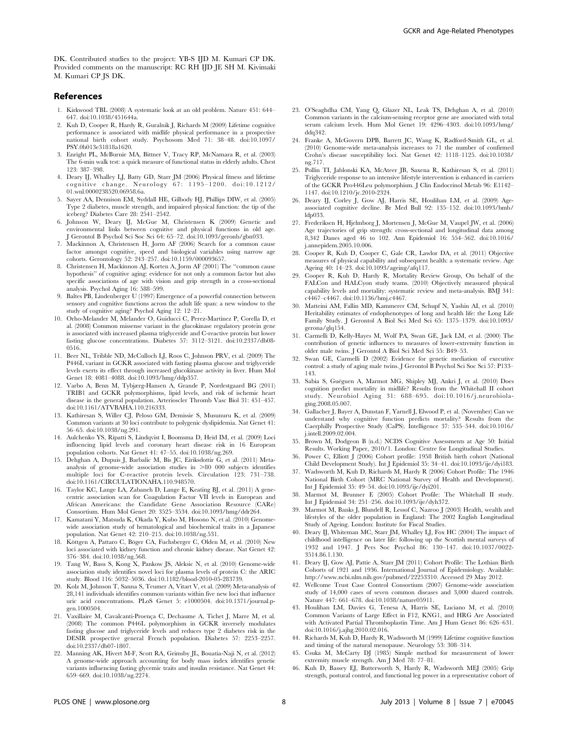DK. Contributed studies to the project: YB-S IJD M. Kumari CP DK. Provided comments on the manuscript: RC RH IJD JE SH M. Kivimaki M. Kumari CP JS DK.

#### References

- 1. Kirkwood TBL (2008) A systematic look at an old problem. Nature 451: 644– 647. doi:10.1038/451644a.
- 2. Kuh D, Cooper R, Hardy R, Guralnik J, Richards M (2009) Lifetime cognitive performance is associated with midlife physical performance in a prospective national birth cohort study. Psychosom Med 71: 38–48. doi:10.1097/ PSY.0b013e31818a1620.
- 3. Enright PL, McBurnie MA, Bittner V, Tracy RP, McNamara R, et al. (2003) The 6-min walk test: a quick measure of functional status in elderly adults. Chest 123: 387–398.
- 4. Deary IJ, Whalley LJ, Batty GD, Starr JM (2006) Physical fitness and lifetime cognitive change. Neurology 67: 1195–1200. doi:10.1212/ 01.wnl.0000238520.06958.6a.
- 5. Sayer AA, Dennison EM, Syddall HE, Gilbody HJ, Phillips DIW, et al. (2005) Type 2 diabetes, muscle strength, and impaired physical function: the tip of the iceberg? Diabetes Care 28: 2541–2542.
- 6. Johnson W, Deary IJ, McGue M, Christensen K (2009) Genetic and environmental links between cognitive and physical functions in old age. J Gerontol B Psychol Sci Soc Sci 64: 65–72. doi:10.1093/geronb/gbn033.
- 7. Mackinnon A, Christensen H, Jorm AF (2006) Search for a common cause factor amongst cognitive, speed and biological variables using narrow age cohorts. Gerontology 52: 243–257. doi:10.1159/000093657.
- 8. Christensen H, Mackinnon AJ, Korten A, Jorm AF (2001) The ''common cause hypothesis'' of cognitive aging: evidence for not only a common factor but also specific associations of age with vision and grip strength in a cross-sectional analysis. Psychol Aging 16: 588–599.
- 9. Baltes PB, Lindenberger U (1997) Emergence of a powerful connection between sensory and cognitive functions across the adult life span: a new window to the study of cognitive aging? Psychol Aging 12: 12–21.
- 10. Orho-Melander M, Melander O, Guiducci C, Perez-Martinez P, Corella D, et al. (2008) Common missense variant in the glucokinase regulatory protein gene is associated with increased plasma triglyceride and C-reactive protein but lower fasting glucose concentrations. Diabetes 57: 3112–3121. doi:10.2337/db08- 0516.
- 11. Beer NL, Tribble ND, McCulloch LJ, Roos C, Johnson PRV, et al. (2009) The P446L variant in GCKR associated with fasting plasma glucose and triglyceride levels exerts its effect through increased glucokinase activity in liver. Hum Mol Genet 18: 4081–4088. doi:10.1093/hmg/ddp357.
- 12. Varbo A, Benn M, Tybjærg-Hansen A, Grande P, Nordestgaard BG (2011) TRIB1 and GCKR polymorphisms, lipid levels, and risk of ischemic heart disease in the general population. Arterioscler Thromb Vasc Biol 31: 451–457. doi:10.1161/ATVBAHA.110.216333.
- 13. Kathiresan S, Willer CJ, Peloso GM, Demissie S, Musunuru K, et al. (2009) Common variants at 30 loci contribute to polygenic dyslipidemia. Nat Genet 41: 56–65. doi:10.1038/ng.291.
- 14. Aulchenko YS, Ripatti S, Lindqvist I, Boomsma D, Heid IM, et al. (2009) Loci influencing lipid levels and coronary heart disease risk in 16 European population cohorts. Nat Genet 41: 47–55. doi:10.1038/ng.269.
- 15. Dehghan A, Dupuis J, Barbalic M, Bis JC, Eiriksdottir G, et al. (2011) Metaanalysis of genome-wide association studies in  $>80$  000 subjects identifies multiple loci for C-reactive protein levels. Circulation 123: 731–738. doi:10.1161/CIRCULATIONAHA.110.948570.
- 16. Taylor KC, Lange LA, Zabaneh D, Lange E, Keating BJ, et al. (2011) A genecentric association scan for Coagulation Factor VII levels in European and African Americans: the Candidate Gene Association Resource (CARe) Consortium. Hum Mol Genet 20: 3525–3534. doi:10.1093/hmg/ddr264.
- 17. Kamatani Y, Matsuda K, Okada Y, Kubo M, Hosono N, et al. (2010) Genomewide association study of hematological and biochemical traits in a Japanese population. Nat Genet 42: 210–215. doi:10.1038/ng.531.
- 18. Köttgen A, Pattaro C, Böger CA, Fuchsberger C, Olden M, et al. (2010) New loci associated with kidney function and chronic kidney disease. Nat Genet 42: 376–384. doi:10.1038/ng.568.
- 19. Tang W, Basu S, Kong X, Pankow JS, Aleksic N, et al. (2010) Genome-wide association study identifies novel loci for plasma levels of protein C: the ARIC study. Blood 116: 5032–5036. doi:10.1182/blood-2010-05-283739.
- 20. Kolz M, Johnson T, Sanna S, Teumer A, Vitart V, et al. (2009) Meta-analysis of 28,141 individuals identifies common variants within five new loci that influence uric acid concentrations. PLoS Genet 5: e1000504. doi:10.1371/journal.pgen.1000504.
- 21. Vaxillaire M, Cavalcanti-Proença C, Dechaume A, Tichet J, Marre M, et al. (2008) The common P446L polymorphism in GCKR inversely modulates fasting glucose and triglyceride levels and reduces type 2 diabetes risk in the DESIR prospective general French population. Diabetes 57: 2253–2257. doi:10.2337/db07-1807.
- 22. Manning AK, Hivert M-F, Scott RA, Grimsby JL, Bouatia-Naji N, et al. (2012) A genome-wide approach accounting for body mass index identifies genetic variants influencing fasting glycemic traits and insulin resistance. Nat Genet 44: 659–669. doi:10.1038/ng.2274.
- 23. O'Seaghdha CM, Yang Q, Glazer NL, Leak TS, Dehghan A, et al. (2010) Common variants in the calcium-sensing receptor gene are associated with total serum calcium levels. Hum Mol Genet 19: 4296–4303. doi:10.1093/hmg/  $ddq342.$
- 24. Franke A, McGovern DPB, Barrett JC, Wang K, Radford-Smith GL, et al. (2010) Genome-wide meta-analysis increases to 71 the number of confirmed Crohn's disease susceptibility loci. Nat Genet 42: 1118–1125. doi:10.1038/ ng.717.
- 25. Pollin TI, Jablonski KA, McAteer JB, Saxena R, Kathiresan S, et al. (2011) Triglyceride response to an intensive lifestyle intervention is enhanced in carriers of the GCKR Pro446Leu polymorphism. J Clin Endocrinol Metab 96: E1142– 1147. doi:10.1210/jc.2010-2324.
- 26. Deary IJ, Corley J, Gow AJ, Harris SE, Houlihan LM, et al. (2009) Ageassociated cognitive decline. Br Med Bull 92: 135–152. doi:10.1093/bmb/ ldp033.
- 27. Frederiksen H, Hjelmborg J, Mortensen J, McGue M, Vaupel JW, et al. (2006) Age trajectories of grip strength: cross-sectional and longitudinal data among 8,342 Danes aged 46 to 102. Ann Epidemiol 16: 554–562. doi:10.1016/ j.annepidem.2005.10.006.
- 28. Cooper R, Kuh D, Cooper C, Gale CR, Lawlor DA, et al. (2011) Objective measures of physical capability and subsequent health: a systematic review. Age Ageing 40: 14–23. doi:10.1093/ageing/afq117.
- 29. Cooper R, Kuh D, Hardy R, Mortality Review Group, On behalf of the FALCon and HALCyon study teams. (2010) Objectively measured physical capability levels and mortality: systematic review and meta-analysis. BMJ 341: c4467–c4467. doi:10.1136/bmj.c4467.
- 30. Matteini AM, Fallin MD, Kammerer CM, Schupf N, Yashin AI, et al. (2010) Heritability estimates of endophenotypes of long and health life: the Long Life Family Study. J Gerontol A Biol Sci Med Sci 65: 1375–1379. doi:10.1093/ gerona/glq154.
- 31. Carmelli D, Kelly-Hayes M, Wolf PA, Swan GE, Jack LM, et al. (2000) The contribution of genetic influences to measures of lower-extremity function in older male twins. J Gerontol A Biol Sci Med Sci 55: B49–53.
- 32. Swan GE, Carmelli D (2002) Evidence for genetic mediation of executive control: a study of aging male twins. J Gerontol B Psychol Sci Soc Sci 57: P133– 143.
- 33. Sabia S, Guéguen A, Marmot MG, Shipley MJ, Ankri J, et al. (2010) Does cognition predict mortality in midlife? Results from the Whitehall II cohort study. Neurobiol Aging 31: 688–695. doi:10.1016/j.neurobiolaging.2008.05.007.
- 34. Gallacher J, Bayer A, Dunstan F, Yarnell J, Elwood P, et al. (November) Can we understand why cognitive function predicts mortality? Results from the Caerphilly Prospective Study (CaPS). Intelligence 37: 535–544. doi:10.1016/ i.intell.2009.02.004
- 35. Brown M, Dodgeon B (n.d.) NCDS Cognitive Assessments at Age 50: Initial Results. Working Paper, 2010/1. London: Centre for Longitudinal Studies.
- 36. Power C, Elliott J (2006) Cohort profile: 1958 British birth cohort (National Child Development Study). Int J Epidemiol 35: 34–41. doi:10.1093/ije/dyi183.
- 37. Wadsworth M, Kuh D, Richards M, Hardy R (2006) Cohort Profile: The 1946 National Birth Cohort (MRC National Survey of Health and Development). Int J Epidemiol 35: 49–54. doi:10.1093/ije/dyi201.
- 38. Marmot M, Brunner E (2005) Cohort Profile: The Whitehall II study. Int J Epidemiol 34: 251–256. doi:10.1093/ije/dyh372.
- 39. Marmot M, Banks J, Blundell R, Lessof C, Nazroo J (2003) Health, wealth and lifestyles of the older population in England: The 2002 English Longitudinal Study of Ageing. London: Institute for Fiscal Studies.
- 40. Deary IJ, Whiteman MC, Starr JM, Whalley LJ, Fox HC (2004) The impact of childhood intelligence on later life: following up the Scottish mental surveys of 1932 and 1947. J Pers Soc Psychol 86: 130–147. doi:10.1037/0022- 3514.86.1.130.
- 41. Deary IJ, Gow AJ, Pattie A, Starr JM (2011) Cohort Profile: The Lothian Birth Cohorts of 1921 and 1936. International Journal of Epidemiology. Available: http://www.ncbi.nlm.nih.gov/pubmed/22253310. Accessed 29 May 2012.
- 42. Wellcome Trust Case Control Consortium (2007) Genome-wide association study of 14,000 cases of seven common diseases and 3,000 shared controls. Nature 447: 661–678. doi:10.1038/nature05911.
- 43. Houlihan LM, Davies G, Tenesa A, Harris SE, Luciano M, et al. (2010) Common Variants of Large Effect in F12, KNG1, and HRG Are Associated with Activated Partial Thromboplastin Time. Am J Hum Genet 86: 626–631. doi:10.1016/j.ajhg.2010.02.016.
- 44. Richards M, Kuh D, Hardy R, Wadsworth M (1999) Lifetime cognitive function and timing of the natural menopause. Neurology 53: 308–314.
- 45. Csuka M, McCarty DJ (1985) Simple method for measurement of lower extremity muscle strength. Am J Med 78: 77–81.
- 46. Kuh D, Bassey EJ, Butterworth S, Hardy R, Wadsworth MEJ (2005) Grip strength, postural control, and functional leg power in a representative cohort of